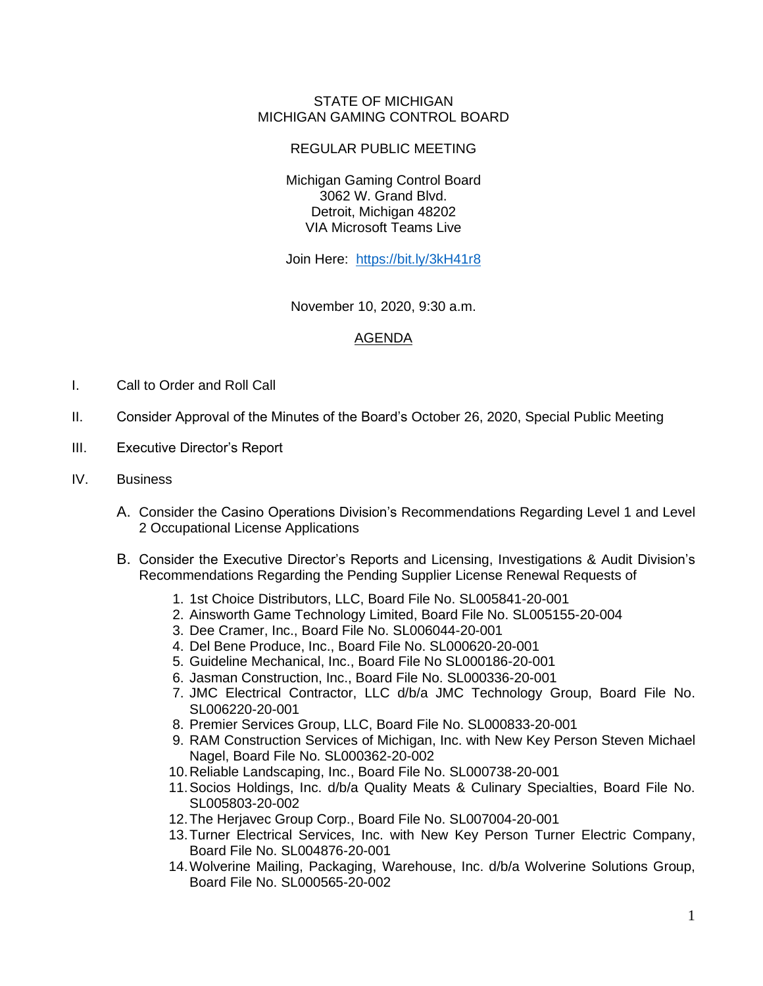## STATE OF MICHIGAN MICHIGAN GAMING CONTROL BOARD

## REGULAR PUBLIC MEETING

Michigan Gaming Control Board 3062 W. Grand Blvd. Detroit, Michigan 48202 VIA Microsoft Teams Live

Join Here: <https://bit.ly/3kH41r8>

November 10, 2020, 9:30 a.m.

## AGENDA

- I. Call to Order and Roll Call
- II. Consider Approval of the Minutes of the Board's October 26, 2020, Special Public Meeting
- III. Executive Director's Report
- IV. Business
	- A. Consider the Casino Operations Division's Recommendations Regarding Level 1 and Level 2 Occupational License Applications
	- B. Consider the Executive Director's Reports and Licensing, Investigations & Audit Division's Recommendations Regarding the Pending Supplier License Renewal Requests of
		- 1. 1st Choice Distributors, LLC, Board File No. SL005841-20-001
		- 2. Ainsworth Game Technology Limited, Board File No. SL005155-20-004
		- 3. Dee Cramer, Inc., Board File No. SL006044-20-001
		- 4. Del Bene Produce, Inc., Board File No. SL000620-20-001
		- 5. Guideline Mechanical, Inc., Board File No SL000186-20-001
		- 6. Jasman Construction, Inc., Board File No. SL000336-20-001
		- 7. JMC Electrical Contractor, LLC d/b/a JMC Technology Group, Board File No. SL006220-20-001
		- 8. Premier Services Group, LLC, Board File No. SL000833-20-001
		- 9. RAM Construction Services of Michigan, Inc. with New Key Person Steven Michael Nagel, Board File No. SL000362-20-002
		- 10.Reliable Landscaping, Inc., Board File No. SL000738-20-001
		- 11.Socios Holdings, Inc. d/b/a Quality Meats & Culinary Specialties, Board File No. SL005803-20-002
		- 12.The Herjavec Group Corp., Board File No. SL007004-20-001
		- 13.Turner Electrical Services, Inc. with New Key Person Turner Electric Company, Board File No. SL004876-20-001
		- 14.Wolverine Mailing, Packaging, Warehouse, Inc. d/b/a Wolverine Solutions Group, Board File No. SL000565-20-002